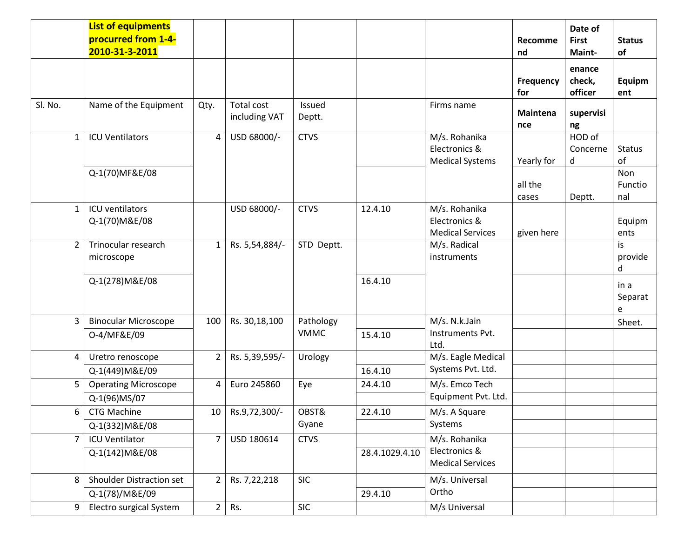|                | <b>List of equipments</b><br>procurred from 1-4-<br>2010-31-3-2011 |                |                             |                  |                |                                                           | Recomme<br>nd<br><b>Frequency</b> | Date of<br><b>First</b><br>Maint-<br>enance<br>check, | <b>Status</b><br>of<br>Equipm |
|----------------|--------------------------------------------------------------------|----------------|-----------------------------|------------------|----------------|-----------------------------------------------------------|-----------------------------------|-------------------------------------------------------|-------------------------------|
|                |                                                                    |                |                             |                  |                |                                                           | for                               | officer                                               | ent                           |
| Sl. No.        | Name of the Equipment                                              | Qty.           | Total cost<br>including VAT | Issued<br>Deptt. |                | Firms name                                                | <b>Maintena</b><br>nce            | supervisi<br>ng                                       |                               |
| $\mathbf{1}$   | <b>ICU Ventilators</b>                                             | 4              | USD 68000/-                 | <b>CTVS</b>      |                | M/s. Rohanika<br>Electronics &<br><b>Medical Systems</b>  | Yearly for                        | HOD of<br>Concerne<br>d                               | <b>Status</b><br>of           |
|                | Q-1(70)MF&E/08                                                     |                |                             |                  |                |                                                           | all the<br>cases                  | Deptt.                                                | Non<br>Functio<br>nal         |
| $\mathbf{1}$   | ICU ventilators<br>Q-1(70) M&E/08                                  |                | USD 68000/-                 | <b>CTVS</b>      | 12.4.10        | M/s. Rohanika<br>Electronics &<br><b>Medical Services</b> | given here                        |                                                       | Equipm<br>ents                |
| $\overline{2}$ | Trinocular research<br>microscope                                  | $\mathbf{1}$   | Rs. 5,54,884/-              | STD Deptt.       |                | M/s. Radical<br>instruments                               |                                   |                                                       | is<br>provide<br>d            |
|                | Q-1(278) M&E/08                                                    |                |                             |                  | 16.4.10        |                                                           |                                   |                                                       | in a<br>Separat<br>е          |
| 3              | <b>Binocular Microscope</b>                                        | 100            | Rs. 30,18,100               | Pathology        |                | M/s. N.k.Jain                                             |                                   |                                                       | Sheet.                        |
|                | 0-4/MF&E/09                                                        |                |                             | <b>VMMC</b>      | 15.4.10        | Instruments Pvt.<br>Ltd.                                  |                                   |                                                       |                               |
| 4              | Uretro renoscope                                                   | $\overline{2}$ | Rs. 5,39,595/-              | Urology          |                | M/s. Eagle Medical                                        |                                   |                                                       |                               |
|                | Q-1(449) M&E/09                                                    |                |                             |                  | 16.4.10        | Systems Pvt. Ltd.                                         |                                   |                                                       |                               |
| 5              | <b>Operating Microscope</b>                                        | 4              | Euro 245860                 | Eye              | 24.4.10        | M/s. Emco Tech                                            |                                   |                                                       |                               |
|                | Q-1(96)MS/07                                                       |                |                             |                  |                | Equipment Pvt. Ltd.                                       |                                   |                                                       |                               |
| 6              | <b>CTG Machine</b>                                                 |                | 10   Rs.9,72,300/-          | OBST&<br>Gyane   | 22.4.10        | M/s. A Square<br>Systems                                  |                                   |                                                       |                               |
| $\overline{7}$ | Q-1(332) M&E/08<br><b>ICU Ventilator</b>                           |                |                             |                  |                | M/s. Rohanika                                             |                                   |                                                       |                               |
|                | Q-1(142) M&E/08                                                    | 7              | USD 180614                  | <b>CTVS</b>      | 28.4.1029.4.10 | Electronics &<br><b>Medical Services</b>                  |                                   |                                                       |                               |
| 8              | Shoulder Distraction set                                           | $\overline{2}$ | Rs. 7,22,218                | <b>SIC</b>       | 29.4.10        | M/s. Universal<br>Ortho                                   |                                   |                                                       |                               |
| 9              | Q-1(78)/M&E/09<br>Electro surgical System                          | $\overline{2}$ | Rs.                         | SIC              |                | M/s Universal                                             |                                   |                                                       |                               |
|                |                                                                    |                |                             |                  |                |                                                           |                                   |                                                       |                               |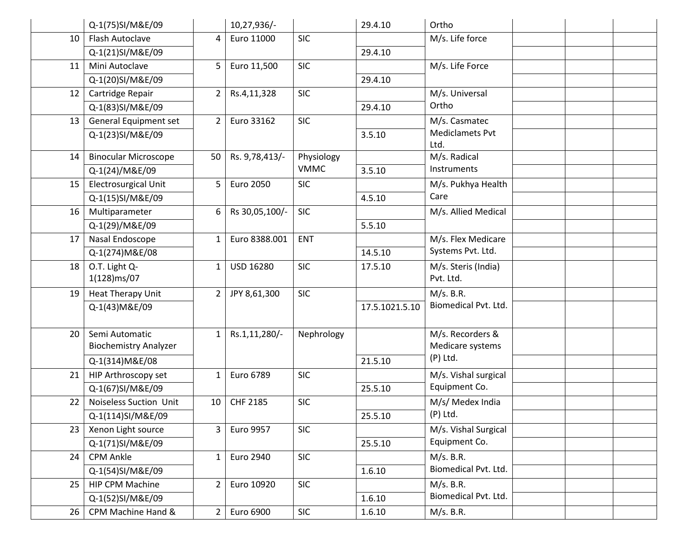|    | Q-1(75)SI/M&E/09             |                | 10,27,936/-    |             | 29.4.10        | Ortho                  |  |  |
|----|------------------------------|----------------|----------------|-------------|----------------|------------------------|--|--|
| 10 | Flash Autoclave              | 4              | Euro 11000     | <b>SIC</b>  |                | M/s. Life force        |  |  |
|    | Q-1(21)SI/M&E/09             |                |                |             | 29.4.10        |                        |  |  |
| 11 | Mini Autoclave               | 5              | Euro 11,500    | <b>SIC</b>  |                | M/s. Life Force        |  |  |
|    | Q-1(20)SI/M&E/09             |                |                |             | 29.4.10        |                        |  |  |
| 12 | Cartridge Repair             | $\overline{2}$ | Rs.4,11,328    | <b>SIC</b>  |                | M/s. Universal         |  |  |
|    | Q-1(83)SI/M&E/09             |                |                |             | 29.4.10        | Ortho                  |  |  |
| 13 | General Equipment set        | $\overline{2}$ | Euro 33162     | <b>SIC</b>  |                | M/s. Casmatec          |  |  |
|    | Q-1(23)SI/M&E/09             |                |                |             | 3.5.10         | <b>Mediclamets Pvt</b> |  |  |
|    |                              |                |                |             |                | Ltd.                   |  |  |
| 14 | <b>Binocular Microscope</b>  | 50             | Rs. 9,78,413/- | Physiology  |                | M/s. Radical           |  |  |
|    | Q-1(24)/M&E/09               |                |                | <b>VMMC</b> | 3.5.10         | Instruments            |  |  |
| 15 | <b>Electrosurgical Unit</b>  | 5              | Euro 2050      | <b>SIC</b>  |                | M/s. Pukhya Health     |  |  |
|    | Q-1(15)SI/M&E/09             |                |                |             | 4.5.10         | Care                   |  |  |
| 16 | Multiparameter               | 6              | Rs 30,05,100/- | <b>SIC</b>  |                | M/s. Allied Medical    |  |  |
|    | Q-1(29)/M&E/09               |                |                |             | 5.5.10         |                        |  |  |
| 17 | Nasal Endoscope              | $\mathbf{1}$   | Euro 8388.001  | <b>ENT</b>  |                | M/s. Flex Medicare     |  |  |
|    | Q-1(274) M&E/08              |                |                |             | 14.5.10        | Systems Pvt. Ltd.      |  |  |
| 18 | O.T. Light Q-                | 1              | USD 16280      | <b>SIC</b>  | 17.5.10        | M/s. Steris (India)    |  |  |
|    | 1(128)ms/07                  |                |                |             |                | Pvt. Ltd.              |  |  |
| 19 | Heat Therapy Unit            | $\overline{2}$ | JPY 8,61,300   | <b>SIC</b>  |                | M/s. B.R.              |  |  |
|    | Q-1(43) M&E/09               |                |                |             | 17.5.1021.5.10 | Biomedical Pvt. Ltd.   |  |  |
|    |                              |                |                |             |                |                        |  |  |
| 20 | Semi Automatic               | $\mathbf{1}$   | Rs.1,11,280/-  | Nephrology  |                | M/s. Recorders &       |  |  |
|    | <b>Biochemistry Analyzer</b> |                |                |             |                | Medicare systems       |  |  |
|    | Q-1(314) M&E/08              |                |                |             | 21.5.10        | $(P)$ Ltd.             |  |  |
| 21 | HIP Arthroscopy set          | $\mathbf{1}$   | Euro 6789      | <b>SIC</b>  |                | M/s. Vishal surgical   |  |  |
|    | Q-1(67)SI/M&E/09             |                |                |             | 25.5.10        | Equipment Co.          |  |  |
| 22 | Noiseless Suction Unit       | 10             | CHF 2185       | <b>SIC</b>  |                | M/s/ Medex India       |  |  |
|    | Q-1(114)SI/M&E/09            |                |                |             | 25.5.10        | (P) Ltd.               |  |  |
| 23 | Xenon Light source           | $\overline{3}$ | Euro 9957      | <b>SIC</b>  |                | M/s. Vishal Surgical   |  |  |
|    | Q-1(71)SI/M&E/09             |                |                |             | 25.5.10        | Equipment Co.          |  |  |
| 24 | <b>CPM Ankle</b>             | $\mathbf{1}$   | Euro 2940      | <b>SIC</b>  |                | M/s. B.R.              |  |  |
|    | Q-1(54)SI/M&E/09             |                |                |             | 1.6.10         | Biomedical Pvt. Ltd.   |  |  |
| 25 | HIP CPM Machine              | $\overline{2}$ | Euro 10920     | <b>SIC</b>  |                | M/s. B.R.              |  |  |
|    | Q-1(52)SI/M&E/09             |                |                |             | 1.6.10         | Biomedical Pvt. Ltd.   |  |  |
| 26 | CPM Machine Hand &           | $\overline{2}$ | Euro 6900      | <b>SIC</b>  | 1.6.10         | M/s. B.R.              |  |  |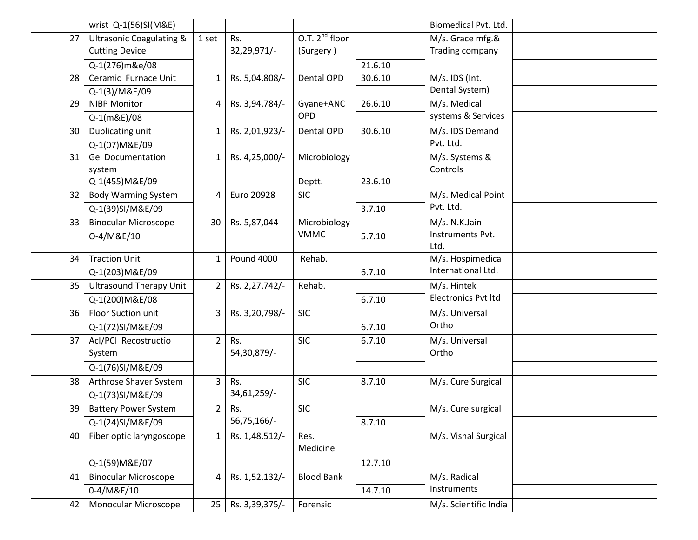|    | wrist Q-1(56)SI(M&E)                                         |                |                    |                                  |         | Biomedical Pvt. Ltd.                |  |  |
|----|--------------------------------------------------------------|----------------|--------------------|----------------------------------|---------|-------------------------------------|--|--|
| 27 | <b>Ultrasonic Coagulating &amp;</b><br><b>Cutting Device</b> | 1 set          | Rs.<br>32,29,971/- | O.T. $2^{nd}$ floor<br>(Surgery) |         | M/s. Grace mfg.&<br>Trading company |  |  |
|    | Q-1(276)m&e/08                                               |                |                    |                                  | 21.6.10 |                                     |  |  |
| 28 | Ceramic Furnace Unit                                         | $\mathbf{1}$   | Rs. 5,04,808/-     | Dental OPD                       | 30.6.10 | M/s. IDS (Int.                      |  |  |
|    | Q-1(3)/M&E/09                                                |                |                    |                                  |         | Dental System)                      |  |  |
| 29 | <b>NIBP Monitor</b>                                          | 4              | Rs. 3,94,784/-     | Gyane+ANC                        | 26.6.10 | M/s. Medical                        |  |  |
|    | Q-1(m&E)/08                                                  |                |                    | OPD                              |         | systems & Services                  |  |  |
| 30 | Duplicating unit                                             | $\mathbf{1}$   | Rs. 2,01,923/-     | Dental OPD                       | 30.6.10 | M/s. IDS Demand                     |  |  |
|    | Q-1(07) M&E/09                                               |                |                    |                                  |         | Pvt. Ltd.                           |  |  |
| 31 | <b>Gel Documentation</b>                                     | $\mathbf{1}$   | Rs. 4,25,000/-     | Microbiology                     |         | M/s. Systems &                      |  |  |
|    | system                                                       |                |                    |                                  |         | Controls                            |  |  |
|    | Q-1(455) M&E/09                                              |                |                    | Deptt.                           | 23.6.10 |                                     |  |  |
| 32 | <b>Body Warming System</b>                                   | 4              | Euro 20928         | <b>SIC</b>                       |         | M/s. Medical Point                  |  |  |
|    | Q-1(39)SI/M&E/09                                             |                |                    |                                  | 3.7.10  | Pvt. Ltd.                           |  |  |
| 33 | <b>Binocular Microscope</b>                                  | 30             | Rs. 5,87,044       | Microbiology                     |         | M/s. N.K.Jain                       |  |  |
|    | 0-4/M&E/10                                                   |                |                    | <b>VMMC</b>                      | 5.7.10  | Instruments Pvt.<br>Ltd.            |  |  |
| 34 | <b>Traction Unit</b>                                         | $\mathbf{1}$   | <b>Pound 4000</b>  | Rehab.                           |         | M/s. Hospimedica                    |  |  |
|    | Q-1(203) M&E/09                                              |                |                    |                                  | 6.7.10  | International Ltd.                  |  |  |
| 35 | <b>Ultrasound Therapy Unit</b>                               | $2^{\circ}$    | Rs. 2,27,742/-     | Rehab.                           |         | M/s. Hintek                         |  |  |
|    | Q-1(200) M&E/08                                              |                |                    |                                  | 6.7.10  | <b>Electronics Pvt ltd</b>          |  |  |
| 36 | Floor Suction unit                                           | $\mathbf{3}$   | Rs. 3,20,798/-     | <b>SIC</b>                       |         | M/s. Universal                      |  |  |
|    | Q-1(72)SI/M&E/09                                             |                |                    |                                  | 6.7.10  | Ortho                               |  |  |
| 37 | Acl/PCl Recostructio                                         | $\overline{2}$ | Rs.                | <b>SIC</b>                       | 6.7.10  | M/s. Universal                      |  |  |
|    | System                                                       |                | 54,30,879/-        |                                  |         | Ortho                               |  |  |
|    | Q-1(76)SI/M&E/09                                             |                |                    |                                  |         |                                     |  |  |
| 38 | Arthrose Shaver System                                       | $\overline{3}$ | Rs.                | <b>SIC</b>                       | 8.7.10  | M/s. Cure Surgical                  |  |  |
|    | Q-1(73)SI/M&E/09                                             |                | 34,61,259/-        |                                  |         |                                     |  |  |
| 39 | <b>Battery Power System</b>                                  | $2^{\circ}$    | Rs.                | <b>SIC</b>                       |         | M/s. Cure surgical                  |  |  |
|    | Q-1(24)SI/M&E/09                                             |                | 56,75,166/-        |                                  | 8.7.10  |                                     |  |  |
| 40 | Fiber optic laryngoscope                                     | $\mathbf{1}$   | Rs. 1,48,512/-     | Res.<br>Medicine                 |         | M/s. Vishal Surgical                |  |  |
|    | Q-1(59) M&E/07                                               |                |                    |                                  | 12.7.10 |                                     |  |  |
| 41 | <b>Binocular Microscope</b>                                  | 4              | Rs. 1,52,132/-     | <b>Blood Bank</b>                |         | M/s. Radical                        |  |  |
|    | 0-4/M&E/10                                                   |                |                    |                                  | 14.7.10 | Instruments                         |  |  |
| 42 | Monocular Microscope                                         | 25             | Rs. 3,39,375/-     | Forensic                         |         | M/s. Scientific India               |  |  |
|    |                                                              |                |                    |                                  |         |                                     |  |  |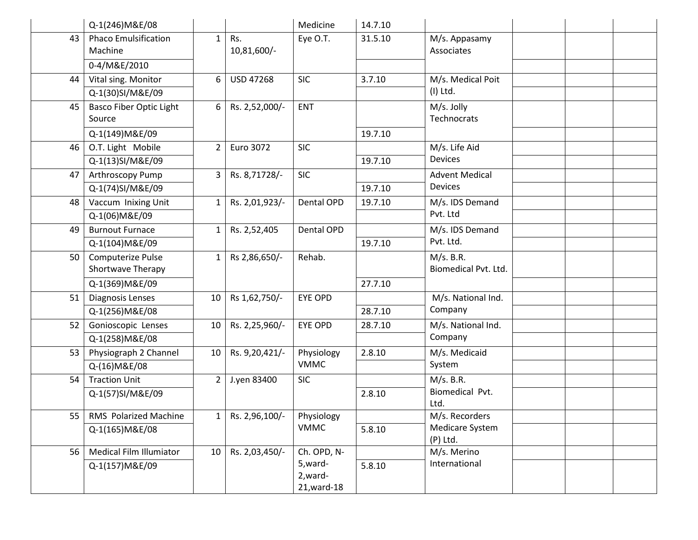|    | Q-1(246) M&E/08                          |                |                    | Medicine                      | 14.7.10 |                                   |  |  |
|----|------------------------------------------|----------------|--------------------|-------------------------------|---------|-----------------------------------|--|--|
| 43 | <b>Phaco Emulsification</b><br>Machine   | $\mathbf{1}$   | Rs.<br>10,81,600/- | Eye O.T.                      | 31.5.10 | M/s. Appasamy<br>Associates       |  |  |
|    | 0-4/M&E/2010                             |                |                    |                               |         |                                   |  |  |
| 44 | Vital sing. Monitor<br>Q-1(30)SI/M&E/09  | 6              | <b>USD 47268</b>   | <b>SIC</b>                    | 3.7.10  | M/s. Medical Poit<br>$(I)$ Ltd.   |  |  |
| 45 | <b>Basco Fiber Optic Light</b><br>Source | 6              | Rs. 2,52,000/-     | ENT                           |         | M/s. Jolly<br>Technocrats         |  |  |
|    | Q-1(149) M&E/09                          |                |                    |                               | 19.7.10 |                                   |  |  |
| 46 | O.T. Light Mobile                        | $\overline{2}$ | Euro 3072          | <b>SIC</b>                    |         | M/s. Life Aid                     |  |  |
|    | Q-1(13)SI/M&E/09                         |                |                    |                               | 19.7.10 | <b>Devices</b>                    |  |  |
| 47 | Arthroscopy Pump                         | 3              | Rs. 8,71728/-      | <b>SIC</b>                    |         | <b>Advent Medical</b>             |  |  |
|    | Q-1(74)SI/M&E/09                         |                |                    |                               | 19.7.10 | Devices                           |  |  |
| 48 | Vaccum Inixing Unit                      | $1\,$          | Rs. 2,01,923/-     | Dental OPD                    | 19.7.10 | M/s. IDS Demand                   |  |  |
|    | Q-1(06) M&E/09                           |                |                    |                               |         | Pvt. Ltd                          |  |  |
| 49 | <b>Burnout Furnace</b>                   | $\mathbf{1}$   | Rs. 2,52,405       | Dental OPD                    |         | M/s. IDS Demand                   |  |  |
|    | Q-1(104) M&E/09                          |                |                    |                               | 19.7.10 | Pvt. Ltd.                         |  |  |
| 50 | Computerize Pulse<br>Shortwave Therapy   | $\mathbf{1}$   | Rs 2,86,650/-      | Rehab.                        |         | M/s. B.R.<br>Biomedical Pvt. Ltd. |  |  |
|    | Q-1(369) M&E/09                          |                |                    |                               | 27.7.10 |                                   |  |  |
| 51 | <b>Diagnosis Lenses</b>                  | 10             | Rs 1,62,750/-      | <b>EYE OPD</b>                |         | M/s. National Ind.                |  |  |
|    | Q-1(256) M&E/08                          |                |                    |                               | 28.7.10 | Company                           |  |  |
| 52 | Gonioscopic Lenses                       | 10             | Rs. 2,25,960/-     | <b>EYE OPD</b>                | 28.7.10 | M/s. National Ind.                |  |  |
|    | Q-1(258) M&E/08                          |                |                    |                               |         | Company                           |  |  |
| 53 | Physiograph 2 Channel                    | 10             | Rs. 9,20,421/-     | Physiology                    | 2.8.10  | M/s. Medicaid                     |  |  |
|    | Q-(16) M&E/08                            |                |                    | <b>VMMC</b>                   |         | System                            |  |  |
| 54 | <b>Traction Unit</b>                     | $\overline{2}$ | J.yen 83400        | <b>SIC</b>                    |         | M/s. B.R.                         |  |  |
|    | Q-1(57)SI/M&E/09                         |                |                    |                               | 2.8.10  | Biomedical Pvt.<br>Ltd.           |  |  |
| 55 | <b>RMS Polarized Machine</b>             | $1\vert$       | Rs. 2,96,100/-     | Physiology                    |         | M/s. Recorders                    |  |  |
|    | Q-1(165) M&E/08                          |                |                    | <b>VMMC</b>                   | 5.8.10  | Medicare System                   |  |  |
|    |                                          |                |                    |                               |         | (P) Ltd.                          |  |  |
| 56 | <b>Medical Film Illumiator</b>           | 10             | Rs. 2,03,450/-     | Ch. OPD, N-<br>5, ward-       |         | M/s. Merino<br>International      |  |  |
|    | Q-1(157) M&E/09                          |                |                    | 2, ward-<br>$21$ , ward- $18$ | 5.8.10  |                                   |  |  |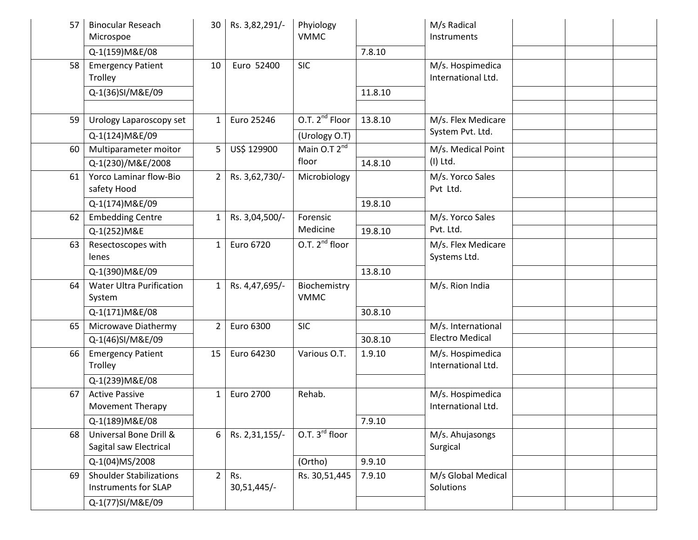| 57 | <b>Binocular Reseach</b><br>Microspoe                         | 30              | Rs. 3,82,291/-     | Phyiology<br><b>VMMC</b>    |         | M/s Radical<br>Instruments             |  |  |
|----|---------------------------------------------------------------|-----------------|--------------------|-----------------------------|---------|----------------------------------------|--|--|
|    | Q-1(159) M&E/08                                               |                 |                    |                             | 7.8.10  |                                        |  |  |
| 58 | <b>Emergency Patient</b><br>Trolley                           | 10              | Euro 52400         | <b>SIC</b>                  |         | M/s. Hospimedica<br>International Ltd. |  |  |
|    | Q-1(36)SI/M&E/09                                              |                 |                    |                             | 11.8.10 |                                        |  |  |
|    |                                                               |                 |                    |                             |         |                                        |  |  |
| 59 | Urology Laparoscopy set                                       | 1               | Euro 25246         | O.T. 2 <sup>nd</sup> Floor  | 13.8.10 | M/s. Flex Medicare<br>System Pvt. Ltd. |  |  |
|    | Q-1(124) M&E/09                                               |                 |                    | (Urology O.T)               |         |                                        |  |  |
| 60 | Multiparameter moitor                                         | $5\overline{)}$ | US\$ 129900        | Main $0.72nd$               |         | M/s. Medical Point                     |  |  |
|    | Q-1(230)/M&E/2008                                             |                 |                    | floor                       | 14.8.10 | $(I)$ Ltd.                             |  |  |
| 61 | Yorco Laminar flow-Bio<br>safety Hood                         | $\overline{2}$  | Rs. 3,62,730/-     | Microbiology                |         | M/s. Yorco Sales<br>Pvt Ltd.           |  |  |
|    | Q-1(174) M&E/09                                               |                 |                    |                             | 19.8.10 |                                        |  |  |
| 62 | <b>Embedding Centre</b>                                       | $\mathbf{1}$    | Rs. 3,04,500/-     | Forensic                    |         | M/s. Yorco Sales                       |  |  |
|    | Q-1(252) M&E                                                  |                 |                    | Medicine                    | 19.8.10 | Pvt. Ltd.                              |  |  |
| 63 | Resectoscopes with<br>lenes                                   | $\mathbf{1}$    | Euro 6720          | O.T. 2 <sup>nd</sup> floor  |         | M/s. Flex Medicare<br>Systems Ltd.     |  |  |
|    | Q-1(390) M&E/09                                               |                 |                    |                             | 13.8.10 |                                        |  |  |
| 64 | <b>Water Ultra Purification</b><br>System                     | $\mathbf{1}$    | Rs. 4,47,695/-     | Biochemistry<br><b>VMMC</b> |         | M/s. Rion India                        |  |  |
|    | Q-1(171) M&E/08                                               |                 |                    |                             | 30.8.10 |                                        |  |  |
| 65 | Microwave Diathermy                                           | $\overline{2}$  | Euro 6300          | <b>SIC</b>                  |         | M/s. International                     |  |  |
|    | Q-1(46)SI/M&E/09                                              |                 |                    |                             | 30.8.10 | <b>Electro Medical</b>                 |  |  |
| 66 | <b>Emergency Patient</b><br>Trolley                           | 15              | Euro 64230         | Various O.T.                | 1.9.10  | M/s. Hospimedica<br>International Ltd. |  |  |
|    | Q-1(239) M&E/08                                               |                 |                    |                             |         |                                        |  |  |
| 67 | <b>Active Passive</b><br><b>Movement Therapy</b>              | $\mathbf{1}$    | Euro 2700          | Rehab.                      |         | M/s. Hospimedica<br>International Ltd. |  |  |
|    | Q-1(189) M&E/08                                               |                 |                    |                             | 7.9.10  |                                        |  |  |
| 68 | Universal Bone Drill &<br>Sagital saw Electrical              | 6               | Rs. 2,31,155/-     | O.T. $3^{rd}$ floor         |         | M/s. Ahujasongs<br>Surgical            |  |  |
|    | Q-1(04)MS/2008                                                |                 |                    | (Ortho)                     | 9.9.10  |                                        |  |  |
| 69 | <b>Shoulder Stabilizations</b><br><b>Instruments for SLAP</b> | $\overline{2}$  | Rs.<br>30,51,445/- | Rs. 30,51,445               | 7.9.10  | M/s Global Medical<br>Solutions        |  |  |
|    | Q-1(77)SI/M&E/09                                              |                 |                    |                             |         |                                        |  |  |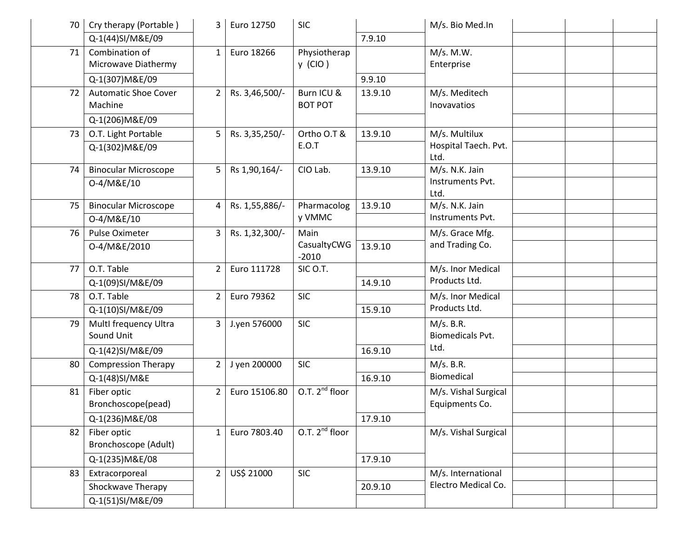| 70 | Cry therapy (Portable)      | 3              | Euro 12750     | <b>SIC</b>          |         | M/s. Bio Med.In          |  |  |
|----|-----------------------------|----------------|----------------|---------------------|---------|--------------------------|--|--|
|    | Q-1(44)SI/M&E/09            |                |                |                     | 7.9.10  |                          |  |  |
| 71 | Combination of              | $\mathbf{1}$   | Euro 18266     | Physiotherap        |         | M/s. M.W.                |  |  |
|    | Microwave Diathermy         |                |                | $y$ (CIO)           |         | Enterprise               |  |  |
|    | Q-1(307) M&E/09             |                |                |                     | 9.9.10  |                          |  |  |
| 72 | <b>Automatic Shoe Cover</b> | $\overline{2}$ | Rs. 3,46,500/- | Burn ICU &          | 13.9.10 | M/s. Meditech            |  |  |
|    | Machine                     |                |                | <b>BOT POT</b>      |         | Inovavatios              |  |  |
|    | Q-1(206) M&E/09             |                |                |                     |         |                          |  |  |
| 73 | O.T. Light Portable         | 5              | Rs. 3,35,250/- | Ortho O.T &         | 13.9.10 | M/s. Multilux            |  |  |
|    | Q-1(302) M&E/09             |                |                | <b>E.O.T</b>        |         | Hospital Taech. Pvt.     |  |  |
|    |                             |                |                |                     |         | Ltd.                     |  |  |
| 74 | <b>Binocular Microscope</b> | 5              | Rs 1,90,164/-  | CIO Lab.            | 13.9.10 | M/s. N.K. Jain           |  |  |
|    | 0-4/M&E/10                  |                |                |                     |         | Instruments Pvt.<br>Ltd. |  |  |
| 75 | <b>Binocular Microscope</b> | 4              | Rs. 1,55,886/- | Pharmacolog         | 13.9.10 | M/s. N.K. Jain           |  |  |
|    | 0-4/M&E/10                  |                |                | y VMMC              |         | Instruments Pvt.         |  |  |
| 76 | Pulse Oximeter              | 3              | Rs. 1,32,300/- | Main                |         | M/s. Grace Mfg.          |  |  |
|    | 0-4/M&E/2010                |                |                | CasualtyCWG         | 13.9.10 | and Trading Co.          |  |  |
|    |                             |                |                | $-2010$             |         |                          |  |  |
| 77 | O.T. Table                  | $\overline{2}$ | Euro 111728    | SIC O.T.            |         | M/s. Inor Medical        |  |  |
|    | Q-1(09)SI/M&E/09            |                |                |                     | 14.9.10 | Products Ltd.            |  |  |
| 78 | O.T. Table                  | $\overline{2}$ | Euro 79362     | <b>SIC</b>          |         | M/s. Inor Medical        |  |  |
|    | Q-1(10)SI/M&E/09            |                |                |                     | 15.9.10 | Products Ltd.            |  |  |
| 79 | MultI frequency Ultra       | 3 <sup>1</sup> | J.yen 576000   | <b>SIC</b>          |         | M/s. B.R.                |  |  |
|    | Sound Unit                  |                |                |                     |         | <b>Biomedicals Pvt.</b>  |  |  |
|    | Q-1(42)SI/M&E/09            |                |                |                     | 16.9.10 | Ltd.                     |  |  |
| 80 | <b>Compression Therapy</b>  | $\overline{2}$ | J yen 200000   | <b>SIC</b>          |         | M/s. B.R.                |  |  |
|    | Q-1(48)SI/M&E               |                |                |                     | 16.9.10 | Biomedical               |  |  |
| 81 | Fiber optic                 | $\overline{2}$ | Euro 15106.80  | O.T. $2^{nd}$ floor |         | M/s. Vishal Surgical     |  |  |
|    | Bronchoscope(pead)          |                |                |                     |         | Equipments Co.           |  |  |
|    | Q-1(236) M&E/08             |                |                |                     | 17.9.10 |                          |  |  |
| 82 | Fiber optic                 | $\mathbf{1}$   | Euro 7803.40   | O.T. $2^{nd}$ floor |         | M/s. Vishal Surgical     |  |  |
|    | Bronchoscope (Adult)        |                |                |                     |         |                          |  |  |
|    | Q-1(235) M&E/08             |                |                |                     | 17.9.10 |                          |  |  |
| 83 | Extracorporeal              | $\overline{2}$ | US\$ 21000     | <b>SIC</b>          |         | M/s. International       |  |  |
|    | Shockwave Therapy           |                |                |                     | 20.9.10 | Electro Medical Co.      |  |  |
|    | Q-1(51)SI/M&E/09            |                |                |                     |         |                          |  |  |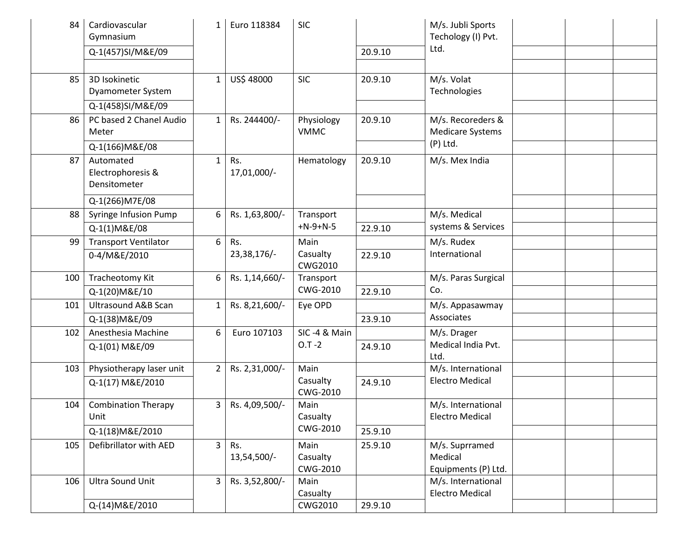| 84  | Cardiovascular<br>Gymnasium                                       | $\mathbf{1}$   | Euro 118384        | <b>SIC</b>                   |         | M/s. Jubli Sports<br>Techology (I) Pvt.<br>Ltd.            |  |  |
|-----|-------------------------------------------------------------------|----------------|--------------------|------------------------------|---------|------------------------------------------------------------|--|--|
|     | Q-1(457)SI/M&E/09                                                 |                |                    |                              | 20.9.10 |                                                            |  |  |
| 85  | 3D Isokinetic<br>Dyamometer System<br>Q-1(458)SI/M&E/09           | $\mathbf{1}$   | US\$ 48000         | <b>SIC</b>                   | 20.9.10 | M/s. Volat<br>Technologies                                 |  |  |
| 86  | PC based 2 Chanel Audio<br>Meter                                  | $\mathbf{1}$   | Rs. 244400/-       | Physiology<br><b>VMMC</b>    | 20.9.10 | M/s. Recoreders &<br><b>Medicare Systems</b><br>$(P)$ Ltd. |  |  |
| 87  | Q-1(166) M&E/08<br>Automated<br>Electrophoresis &<br>Densitometer | $\mathbf{1}$   | Rs.<br>17,01,000/- | Hematology                   | 20.9.10 | M/s. Mex India                                             |  |  |
| 88  | Q-1(266) M7E/08<br>Syringe Infusion Pump                          | 6              | Rs. 1,63,800/-     | Transport                    |         | M/s. Medical                                               |  |  |
|     | Q-1(1)M&E/08                                                      |                |                    | $+N-9+N-5$                   | 22.9.10 | systems & Services                                         |  |  |
| 99  | <b>Transport Ventilator</b>                                       | 6              | Rs.                | Main                         |         | M/s. Rudex                                                 |  |  |
|     | 0-4/M&E/2010                                                      |                | 23,38,176/-        | Casualty<br><b>CWG2010</b>   | 22.9.10 | International                                              |  |  |
| 100 | Tracheotomy Kit                                                   | 6              | Rs. 1,14,660/-     | Transport                    |         | M/s. Paras Surgical                                        |  |  |
|     | Q-1(20) M&E/10                                                    |                |                    | CWG-2010                     | 22.9.10 | Co.                                                        |  |  |
| 101 | <b>Ultrasound A&amp;B Scan</b>                                    | $\mathbf{1}$   | Rs. 8,21,600/-     | Eye OPD                      |         | M/s. Appasawmay                                            |  |  |
|     | Q-1(38) M&E/09                                                    |                |                    |                              | 23.9.10 | Associates                                                 |  |  |
| 102 | Anesthesia Machine                                                | 6              | Euro 107103        | SIC-4 & Main                 |         | M/s. Drager                                                |  |  |
|     | Q-1(01) M&E/09                                                    |                |                    | $0.7 - 2$                    | 24.9.10 | Medical India Pvt.<br>Ltd.                                 |  |  |
| 103 | Physiotherapy laser unit                                          | $\overline{2}$ | Rs. 2,31,000/-     | Main                         |         | M/s. International                                         |  |  |
|     | Q-1(17) M&E/2010                                                  |                |                    | Casualty<br>CWG-2010         | 24.9.10 | <b>Electro Medical</b>                                     |  |  |
| 104 | <b>Combination Therapy</b><br>Unit                                | 3              | Rs. 4,09,500/-     | Main<br>Casualty             |         | M/s. International<br><b>Electro Medical</b>               |  |  |
|     | Q-1(18) M&E/2010                                                  |                |                    | CWG-2010                     | 25.9.10 |                                                            |  |  |
| 105 | Defibrillator with AED                                            | 3 <sup>1</sup> | Rs.<br>13,54,500/- | Main<br>Casualty<br>CWG-2010 | 25.9.10 | M/s. Suprramed<br>Medical<br>Equipments (P) Ltd.           |  |  |
| 106 | Ultra Sound Unit                                                  | $\overline{3}$ | Rs. 3,52,800/-     | Main<br>Casualty             |         | M/s. International<br><b>Electro Medical</b>               |  |  |
|     | Q-(14) M&E/2010                                                   |                |                    | CWG2010                      | 29.9.10 |                                                            |  |  |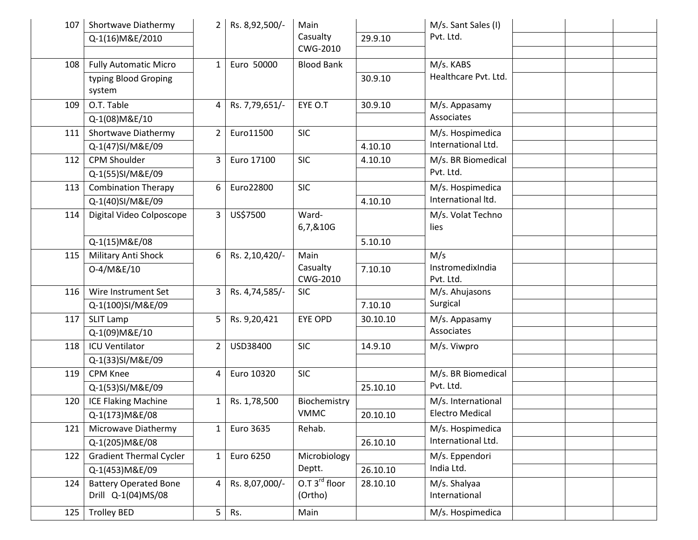| 107 | Shortwave Diathermy            | 2 <sup>1</sup> | Rs. 8,92,500/- | Main              |          | M/s. Sant Sales (I)    |  |  |
|-----|--------------------------------|----------------|----------------|-------------------|----------|------------------------|--|--|
|     | Q-1(16) M&E/2010               |                |                | Casualty          | 29.9.10  | Pvt. Ltd.              |  |  |
|     |                                |                |                | CWG-2010          |          |                        |  |  |
| 108 | <b>Fully Automatic Micro</b>   | $\mathbf{1}$   | Euro 50000     | <b>Blood Bank</b> |          | M/s. KABS              |  |  |
|     | typing Blood Groping           |                |                |                   | 30.9.10  | Healthcare Pvt. Ltd.   |  |  |
|     | system                         |                |                |                   |          |                        |  |  |
| 109 | O.T. Table                     | 4              | Rs. 7,79,651/- | EYE O.T           | 30.9.10  | M/s. Appasamy          |  |  |
|     | Q-1(08) M&E/10                 |                |                |                   |          | Associates             |  |  |
| 111 | Shortwave Diathermy            | $\overline{2}$ | Euro11500      | <b>SIC</b>        |          | M/s. Hospimedica       |  |  |
|     | Q-1(47)SI/M&E/09               |                |                |                   | 4.10.10  | International Ltd.     |  |  |
| 112 | <b>CPM Shoulder</b>            | 3              | Euro 17100     | <b>SIC</b>        | 4.10.10  | M/s. BR Biomedical     |  |  |
|     | Q-1(55)SI/M&E/09               |                |                |                   |          | Pvt. Ltd.              |  |  |
| 113 | <b>Combination Therapy</b>     | 6              | Euro22800      | <b>SIC</b>        |          | M/s. Hospimedica       |  |  |
|     | Q-1(40)SI/M&E/09               |                |                |                   | 4.10.10  | International Itd.     |  |  |
| 114 | Digital Video Colposcope       | 3              | US\$7500       | Ward-             |          | M/s. Volat Techno      |  |  |
|     |                                |                |                | 6,7,&10G          |          | lies                   |  |  |
|     | Q-1(15) M&E/08                 |                |                |                   | 5.10.10  |                        |  |  |
| 115 | Military Anti Shock            | 6              | Rs. 2,10,420/- | Main              |          | M/s                    |  |  |
|     | 0-4/M&E/10                     |                |                | Casualty          | 7.10.10  | InstromedixIndia       |  |  |
|     |                                |                |                | CWG-2010          |          | Pvt. Ltd.              |  |  |
| 116 | Wire Instrument Set            | 3              | Rs. 4,74,585/- | <b>SIC</b>        |          | M/s. Ahujasons         |  |  |
|     | Q-1(100)SI/M&E/09              |                |                |                   | 7.10.10  | Surgical               |  |  |
| 117 | <b>SLIT Lamp</b>               | 5              | Rs. 9,20,421   | <b>EYE OPD</b>    | 30.10.10 | M/s. Appasamy          |  |  |
|     | Q-1(09) M&E/10                 |                |                |                   |          | Associates             |  |  |
| 118 | <b>ICU Ventilator</b>          | 2              | USD38400       | <b>SIC</b>        | 14.9.10  | M/s. Viwpro            |  |  |
|     | Q-1(33)SI/M&E/09               |                |                |                   |          |                        |  |  |
| 119 | <b>CPM Knee</b>                | 4              | Euro 10320     | <b>SIC</b>        |          | M/s. BR Biomedical     |  |  |
|     | Q-1(53)SI/M&E/09               |                |                |                   | 25.10.10 | Pvt. Ltd.              |  |  |
| 120 | <b>ICE Flaking Machine</b>     | $\mathbf{1}$   | Rs. 1,78,500   | Biochemistry      |          | M/s. International     |  |  |
|     | Q-1(173) M&E/08                |                |                | <b>VMMC</b>       | 20.10.10 | <b>Electro Medical</b> |  |  |
| 121 | Microwave Diathermy            | $\mathbf{1}$   | Euro 3635      | Rehab.            |          | M/s. Hospimedica       |  |  |
|     | Q-1(205) M&E/08                |                |                |                   | 26.10.10 | International Ltd.     |  |  |
| 122 | <b>Gradient Thermal Cycler</b> | $\mathbf{1}$   | Euro 6250      | Microbiology      |          | M/s. Eppendori         |  |  |
|     | Q-1(453) M&E/09                |                |                | Deptt.            | 26.10.10 | India Ltd.             |  |  |
| 124 | <b>Battery Operated Bone</b>   | 4              | Rs. 8,07,000/- | $0.73rd$ floor    | 28.10.10 | M/s. Shalyaa           |  |  |
|     | Drill Q-1(04)MS/08             |                |                | (Ortho)           |          | International          |  |  |
| 125 | <b>Trolley BED</b>             | 5              | Rs.            | Main              |          | M/s. Hospimedica       |  |  |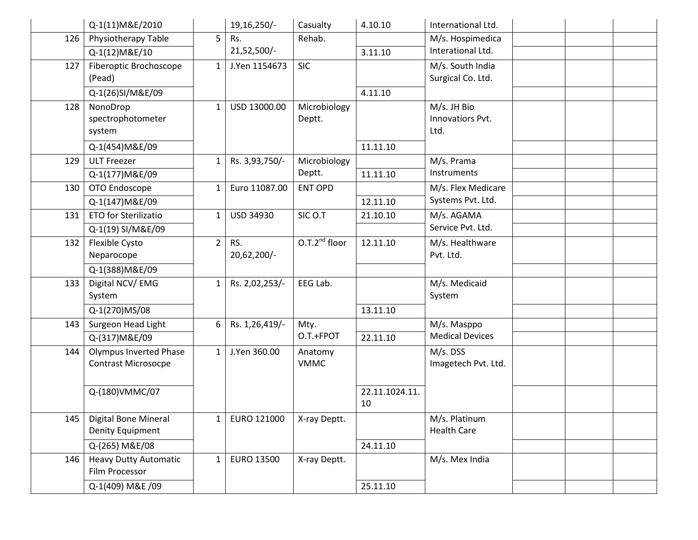|     | Q-1(11)M&E/2010                                             |                | 19,16,250/-        | Casualty               | 4.10.10              | International Ltd.                      |  |  |
|-----|-------------------------------------------------------------|----------------|--------------------|------------------------|----------------------|-----------------------------------------|--|--|
| 126 | Physiotherapy Table                                         | 5              | Rs.                | Rehab.                 |                      | M/s. Hospimedica                        |  |  |
|     | Q-1(12)M&E/10                                               |                | 21,52,500/-        |                        | 3.11.10              | Interational Ltd.                       |  |  |
| 127 | Fiberoptic Brochoscope<br>(Pead)                            | $\mathbf{1}$   | J.Yen 1154673      | <b>SIC</b>             |                      | M/s. South India<br>Surgical Co. Ltd.   |  |  |
|     | Q-1(26)SI/M&E/09                                            |                |                    |                        | 4.11.10              |                                         |  |  |
| 128 | NonoDrop<br>spectrophotometer<br>system                     | $\mathbf{1}$   | USD 13000.00       | Microbiology<br>Deptt. |                      | M/s. JH Bio<br>Innovatiors Pvt.<br>Ltd. |  |  |
|     | Q-1(454) M&E/09                                             |                |                    |                        | 11.11.10             |                                         |  |  |
| 129 | <b>ULT Freezer</b>                                          | $\mathbf{1}$   | Rs. 3,93,750/-     | Microbiology           |                      | M/s. Prama                              |  |  |
|     | Q-1(177) M&E/09                                             |                |                    | Deptt.                 | 11.11.10             | Instruments                             |  |  |
| 130 | OTO Endoscope                                               | $\mathbf{1}$   | Euro 11087.00      | <b>ENT OPD</b>         |                      | M/s. Flex Medicare                      |  |  |
|     | Q-1(147) M&E/09                                             |                |                    |                        | 12.11.10             | Systems Pvt. Ltd.                       |  |  |
| 131 | <b>ETO for Sterilizatio</b>                                 | $\mathbf{1}$   | USD 34930          | SIC O.T                | 21.10.10             | M/s. AGAMA                              |  |  |
|     | Q-1(19) SI/M&E/09                                           |                |                    |                        |                      | Service Pvt. Ltd.                       |  |  |
| 132 | Flexible Cysto<br>Neparocope                                | $\overline{2}$ | RS.<br>20,62,200/- | $0.7.2nd$ floor        | 12.11.10             | M/s. Healthware<br>Pvt. Ltd.            |  |  |
|     | Q-1(388) M&E/09                                             |                |                    |                        |                      |                                         |  |  |
| 133 | Digital NCV/EMG<br>System                                   | $\mathbf{1}$   | Rs. 2,02,253/-     | EEG Lab.               |                      | M/s. Medicaid<br>System                 |  |  |
|     | Q-1(270)MS/08                                               |                |                    |                        | 13.11.10             |                                         |  |  |
| 143 | Surgeon Head Light                                          | 6              | Rs. 1,26,419/-     | Mty.                   |                      | M/s. Masppo                             |  |  |
|     | Q-(317) M&E/09                                              |                |                    | O.T.+FPOT              | 22.11.10             | <b>Medical Devices</b>                  |  |  |
| 144 | <b>Olympus Inverted Phase</b><br><b>Contrast Microsocpe</b> | $\mathbf{1}$   | J.Yen 360.00       | Anatomy<br><b>VMMC</b> |                      | M/s. DSS<br>Imagetech Pvt. Ltd.         |  |  |
|     | Q-(180)VMMC/07                                              |                |                    |                        | 22.11.1024.11.<br>10 |                                         |  |  |
| 145 | Digital Bone Mineral<br><b>Denity Equipment</b>             | 1              | EURO 121000        | X-ray Deptt.           |                      | M/s. Platinum<br><b>Health Care</b>     |  |  |
|     | Q-(265) M&E/08                                              |                |                    |                        | 24.11.10             |                                         |  |  |
| 146 | <b>Heavy Dutty Automatic</b><br>Film Processor              | 1              | EURO 13500         | X-ray Deptt.           |                      | M/s. Mex India                          |  |  |
|     | Q-1(409) M&E /09                                            |                |                    |                        | 25.11.10             |                                         |  |  |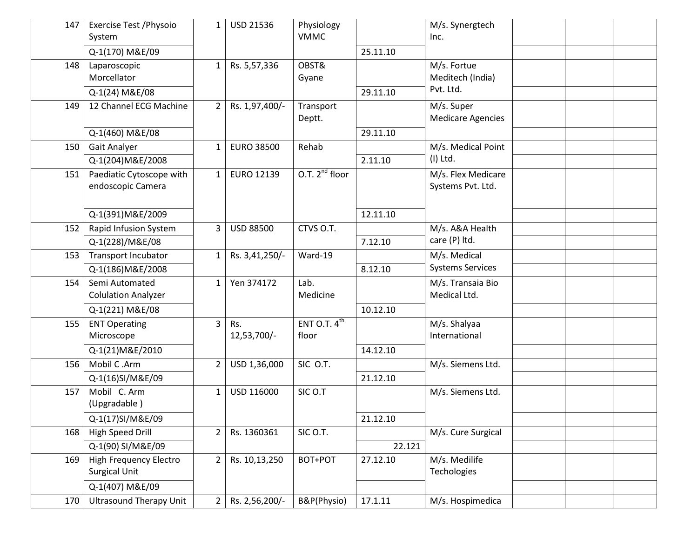| 147 | Exercise Test / Physoio<br>System              | $\mathbf{1}$   | <b>USD 21536</b>   | Physiology<br><b>VMMC</b>         |          | M/s. Synergtech<br>Inc.                 |  |  |
|-----|------------------------------------------------|----------------|--------------------|-----------------------------------|----------|-----------------------------------------|--|--|
|     | Q-1(170) M&E/09                                |                |                    |                                   | 25.11.10 |                                         |  |  |
| 148 | Laparoscopic<br>Morcellator                    | $\mathbf{1}$   | Rs. 5,57,336       | OBST&<br>Gyane                    |          | M/s. Fortue<br>Meditech (India)         |  |  |
|     | Q-1(24) M&E/08                                 |                |                    |                                   | 29.11.10 | Pvt. Ltd.                               |  |  |
| 149 | 12 Channel ECG Machine                         | $2^{\circ}$    | Rs. 1,97,400/-     | Transport<br>Deptt.               |          | M/s. Super<br><b>Medicare Agencies</b>  |  |  |
|     | Q-1(460) M&E/08                                |                |                    |                                   | 29.11.10 |                                         |  |  |
| 150 | Gait Analyer                                   | 1              | <b>EURO 38500</b>  | Rehab                             |          | M/s. Medical Point                      |  |  |
|     | Q-1(204) M&E/2008                              |                |                    |                                   | 2.11.10  | $(I)$ Ltd.                              |  |  |
| 151 | Paediatic Cytoscope with<br>endoscopic Camera  | $\mathbf{1}$   | EURO 12139         | O.T. $2^{nd}$ floor               |          | M/s. Flex Medicare<br>Systems Pvt. Ltd. |  |  |
|     | Q-1(391) M&E/2009                              |                |                    |                                   | 12.11.10 |                                         |  |  |
| 152 | Rapid Infusion System                          | 3              | <b>USD 88500</b>   | CTVS O.T.                         |          | M/s. A&A Health                         |  |  |
|     | Q-1(228)/M&E/08                                |                |                    |                                   | 7.12.10  | care (P) ltd.                           |  |  |
| 153 | Transport Incubator                            | $\mathbf{1}$   | Rs. 3,41,250/-     | Ward-19                           |          | M/s. Medical                            |  |  |
|     | Q-1(186) M&E/2008                              |                |                    |                                   | 8.12.10  | <b>Systems Services</b>                 |  |  |
| 154 | Semi Automated<br><b>Colulation Analyzer</b>   | $\mathbf{1}$   | Yen 374172         | Lab.<br>Medicine                  |          | M/s. Transaia Bio<br>Medical Ltd.       |  |  |
|     | Q-1(221) M&E/08                                |                |                    |                                   | 10.12.10 |                                         |  |  |
| 155 | <b>ENT Operating</b><br>Microscope             | 3 <sup>1</sup> | Rs.<br>12,53,700/- | ENT O.T. $4^{\text{th}}$<br>floor |          | M/s. Shalyaa<br>International           |  |  |
|     | Q-1(21) M&E/2010                               |                |                    |                                   | 14.12.10 |                                         |  |  |
| 156 | Mobil C.Arm                                    | $\overline{2}$ | USD 1,36,000       | SIC O.T.                          |          | M/s. Siemens Ltd.                       |  |  |
|     | Q-1(16)SI/M&E/09                               |                |                    |                                   | 21.12.10 |                                         |  |  |
| 157 | Mobil C. Arm<br>(Upgradable)                   | $\mathbf{1}$   | USD 116000         | SIC O.T                           |          | M/s. Siemens Ltd.                       |  |  |
|     | Q-1(17)SI/M&E/09                               |                |                    |                                   | 21.12.10 |                                         |  |  |
| 168 | High Speed Drill                               | $\overline{2}$ | Rs. 1360361        | SIC O.T.                          |          | M/s. Cure Surgical                      |  |  |
|     | Q-1(90) SI/M&E/09                              |                |                    |                                   | 22.121   |                                         |  |  |
| 169 | High Frequency Electro<br><b>Surgical Unit</b> | $2^{\circ}$    | Rs. 10,13,250      | BOT+POT                           | 27.12.10 | M/s. Medilife<br>Techologies            |  |  |
|     | Q-1(407) M&E/09                                |                |                    |                                   |          |                                         |  |  |
| 170 | <b>Ultrasound Therapy Unit</b>                 | $\overline{2}$ | Rs. 2,56,200/-     | B&P(Physio)                       | 17.1.11  | M/s. Hospimedica                        |  |  |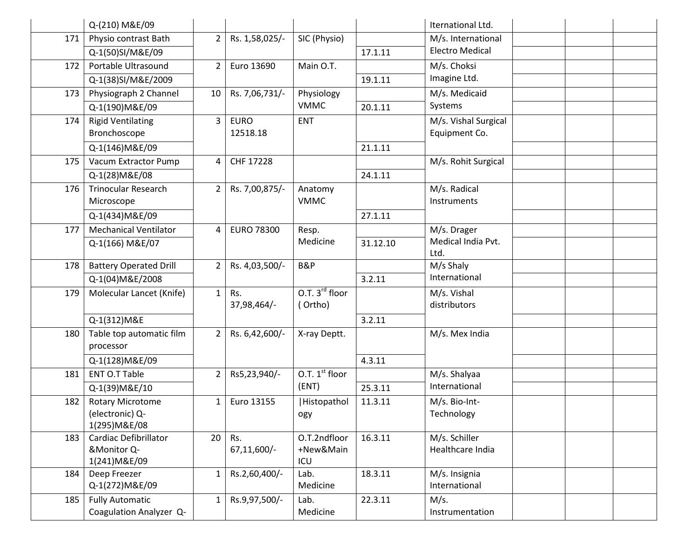|     | Q-(210) M&E/09                |                |                   |                            |          | Iternational Ltd.          |  |  |
|-----|-------------------------------|----------------|-------------------|----------------------------|----------|----------------------------|--|--|
| 171 | Physio contrast Bath          | $\overline{2}$ | Rs. 1,58,025/-    | SIC (Physio)               |          | M/s. International         |  |  |
|     | Q-1(50)SI/M&E/09              |                |                   |                            | 17.1.11  | <b>Electro Medical</b>     |  |  |
| 172 | Portable Ultrasound           | $\overline{2}$ | Euro 13690        | Main O.T.                  |          | M/s. Choksi                |  |  |
|     | Q-1(38)SI/M&E/2009            |                |                   |                            | 19.1.11  | Imagine Ltd.               |  |  |
| 173 | Physiograph 2 Channel         | 10             | Rs. 7,06,731/-    | Physiology                 |          | M/s. Medicaid              |  |  |
|     | Q-1(190) M&E/09               |                |                   | <b>VMMC</b>                | 20.1.11  | Systems                    |  |  |
| 174 | <b>Rigid Ventilating</b>      | $\overline{3}$ | <b>EURO</b>       | <b>ENT</b>                 |          | M/s. Vishal Surgical       |  |  |
|     | Bronchoscope                  |                | 12518.18          |                            |          | Equipment Co.              |  |  |
|     | Q-1(146) M&E/09               |                |                   |                            | 21.1.11  |                            |  |  |
| 175 | Vacum Extractor Pump          | 4              | CHF 17228         |                            |          | M/s. Rohit Surgical        |  |  |
|     | Q-1(28) M&E/08                |                |                   |                            | 24.1.11  |                            |  |  |
| 176 | <b>Trinocular Research</b>    | $\overline{2}$ | Rs. 7,00,875/-    | Anatomy                    |          | M/s. Radical               |  |  |
|     | Microscope                    |                |                   | <b>VMMC</b>                |          | Instruments                |  |  |
|     | Q-1(434) M&E/09               |                |                   |                            | 27.1.11  |                            |  |  |
| 177 | <b>Mechanical Ventilator</b>  | 4              | <b>EURO 78300</b> | Resp.                      |          | M/s. Drager                |  |  |
|     | Q-1(166) M&E/07               |                |                   | Medicine                   | 31.12.10 | Medical India Pvt.<br>Ltd. |  |  |
| 178 | <b>Battery Operated Drill</b> | $\overline{2}$ | Rs. 4,03,500/-    | B&P                        |          | M/s Shaly                  |  |  |
|     | Q-1(04) M&E/2008              |                |                   |                            | 3.2.11   | International              |  |  |
| 179 | Molecular Lancet (Knife)      | $\mathbf{1}$   | Rs.               | O.T. 3 <sup>rd</sup> floor |          | M/s. Vishal                |  |  |
|     |                               |                | 37,98,464/-       | (Ortho)                    |          | distributors               |  |  |
|     | Q-1(312) M&E                  |                |                   |                            | 3.2.11   |                            |  |  |
| 180 | Table top automatic film      | $\overline{2}$ | Rs. 6,42,600/-    | X-ray Deptt.               |          | M/s. Mex India             |  |  |
|     | processor                     |                |                   |                            |          |                            |  |  |
|     | Q-1(128) M&E/09               |                |                   |                            | 4.3.11   |                            |  |  |
| 181 | <b>ENT O.T Table</b>          | $\overline{2}$ | Rs5,23,940/-      | $0.7.1st$ floor            |          | M/s. Shalyaa               |  |  |
|     | Q-1(39) M&E/10                |                |                   | (ENT)                      | 25.3.11  | International              |  |  |
| 182 | <b>Rotary Microtome</b>       | 1              | Euro 13155        | Histopathol                | 11.3.11  | M/s. Bio-Int-              |  |  |
|     | (electronic) Q-               |                |                   | ogy                        |          | Technology                 |  |  |
|     | 1(295) M&E/08                 |                |                   |                            |          |                            |  |  |
| 183 | Cardiac Defibrillator         | 20             | Rs.               | O.T.2ndfloor<br>+New&Main  | 16.3.11  | M/s. Schiller              |  |  |
|     | &Monitor Q-<br>1(241) M&E/09  |                | 67,11,600/-       | ICU                        |          | Healthcare India           |  |  |
| 184 | Deep Freezer                  | $\mathbf{1}$   | Rs.2,60,400/-     | Lab.                       | 18.3.11  | M/s. Insignia              |  |  |
|     | Q-1(272) M&E/09               |                |                   | Medicine                   |          | International              |  |  |
| 185 | <b>Fully Automatic</b>        | $\mathbf{1}$   | Rs.9,97,500/-     | Lab.                       | 22.3.11  | M/s.                       |  |  |
|     | Coagulation Analyzer Q-       |                |                   | Medicine                   |          | Instrumentation            |  |  |